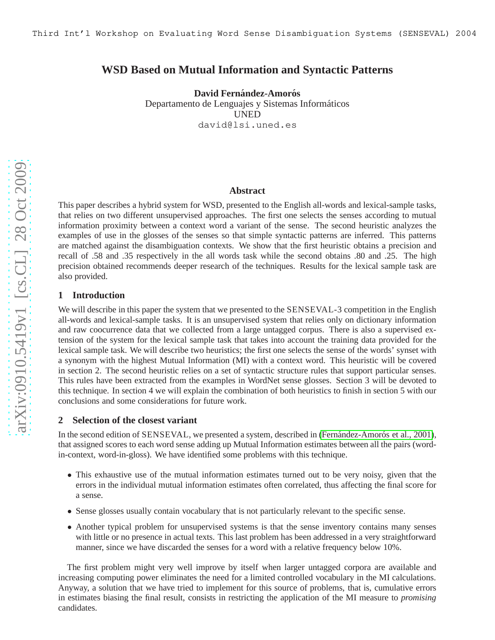# **WSD Based on Mutual Information and Syntactic Patterns**

**David Fernández-Amorós** Departamento de Lenguajes y Sistemas Informáticos UNED david@lsi.uned.es

#### **Abstract**

This paper describes a hybrid system for WSD, presented to the English all-words and lexical-sample tasks, that relies on two different unsupervised approaches. The first one selects the senses according to mutual information proximity between a context word a variant of the sense. The second heuristic analyzes the examples of use in the glosses of the senses so that simple syntactic patterns are inferred. This patterns are matched against the disambiguation contexts. We show that the first heuristic obtains a precision and recall of .58 and .35 respectively in the all words task while the second obtains .80 and .25. The high precision obtained recommends deeper research of the techniques. Results for the lexical sample task are also provided.

## **1 Introduction**

We will describe in this paper the system that we presented to the SENSEVAL-3 competition in the English all-words and lexical-sample tasks. It is an unsupervised system that relies only on dictionary information and raw coocurrence data that we collected from a large untagged corpus. There is also a supervised extension of the system for the lexical sample task that takes into account the training data provided for the lexical sample task. We will describe two heuristics; the first one selects the sense of the words' synset with a synonym with the highest Mutual Information (MI) with a context word. This heuristic will be covered in section 2. The second heuristic relies on a set of syntactic structure rules that support particular senses. This rules have been extracted from the examples in WordNet sense glosses. Section 3 will be devoted to this technique. In section 4 we will explain the combination of both heuristics to finish in section 5 with our conclusions and some considerations for future work.

#### **2 Selection of the closest variant**

In the second edition of SENSEVAL, we presented a system, described in (Fernández-Amorós et al., 2001), that assigned scores to each word sense adding up Mutual Information estimates between all the pairs (wordin-context, word-in-gloss). We have identified some problems with this technique.

- This exhaustive use of the mutual information estimates turned out to be very noisy, given that the errors in the individual mutual information estimates often correlated, thus affecting the final score for a sense.
- Sense glosses usually contain vocabulary that is not particularly relevant to the specific sense.
- Another typical problem for unsupervised systems is that the sense inventory contains many senses with little or no presence in actual texts. This last problem has been addressed in a very straightforward manner, since we have discarded the senses for a word with a relative frequency below 10%.

The first problem might very well improve by itself when larger untagged corpora are available and increasing computing power eliminates the need for a limited controlled vocabulary in the MI calculations. Anyway, a solution that we have tried to implement for this source of problems, that is, cumulative errors in estimates biasing the final result, consists in restricting the application of the MI measure to *promising* candidates.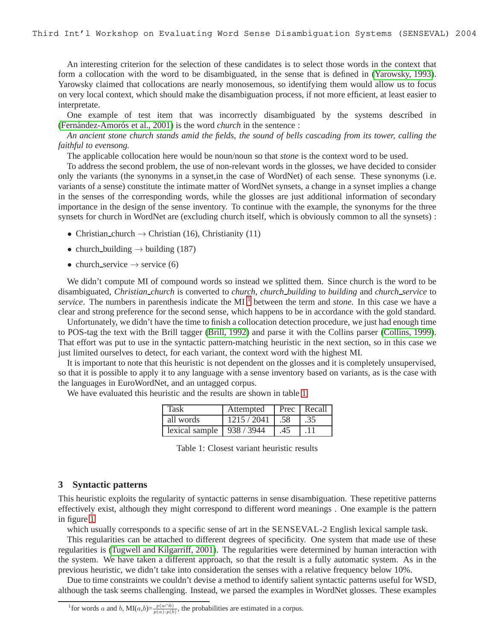An interesting criterion for the selection of these candidates is to select those words in the context that form a collocation with the word to be disambiguated, in the sense that is defined in [\(Yarowsky, 1993\)](#page-4-1). Yarowsky claimed that collocations are nearly monosemous, so identifying them would allow us to focus on very local context, which should make the disambiguation process, if not more efficient, at least easier to interpretate.

One example of test item that was incorrectly disambiguated by the systems described in (Fernández-Amorós et al., 2001) is the word *church* in the sentence :

*An ancient stone church stands amid the fields, the sound of bells cascading from its tower, calling the faithful to evensong.*

The applicable collocation here would be noun/noun so that *stone* is the context word to be used.

To address the second problem, the use of non-relevant words in the glosses, we have decided to consider only the variants (the synonyms in a synset,in the case of WordNet) of each sense. These synonyms (i.e. variants of a sense) constitute the intimate matter of WordNet synsets, a change in a synset implies a change in the senses of the corresponding words, while the glosses are just additional information of secondary importance in the design of the sense inventory. To continue with the example, the synonyms for the three synsets for church in WordNet are (excluding church itself, which is obviously common to all the synsets) :

- Christian church  $\rightarrow$  Christian (16), Christianity (11)
- church building  $\rightarrow$  building (187)
- church service  $\rightarrow$  service (6)

We didn't compute MI of compound words so instead we splitted them. Since church is the word to be disambiguated, *Christian church* is converted to *church*, *church building* to *building* and *church service* to *service*. The numbers in parenthesis indicate the MI<sup>[1](#page-1-0)</sup> between the term and *stone*. In this case we have a clear and strong preference for the second sense, which happens to be in accordance with the gold standard.

Unfortunately, we didn't have the time to finish a collocation detection procedure, we just had enough time to POS-tag the text with the Brill tagger [\(Brill, 1992\)](#page-4-2) and parse it with the Collins parser [\(Collins, 1999\)](#page-4-3). That effort was put to use in the syntactic pattern-matching heuristic in the next section, so in this case we just limited ourselves to detect, for each variant, the context word with the highest MI.

It is important to note that this heuristic is not dependent on the glosses and it is completely unsupervised, so that it is possible to apply it to any language with a sense inventory based on variants, as is the case with the languages in EuroWordNet, and an untagged corpus.

We have evaluated this heuristic and the results are shown in table [1](#page-1-1)

| Task                              | Attempted |     | Prec Recall |
|-----------------------------------|-----------|-----|-------------|
| all words                         | 1215/2041 | .58 | .35         |
| lexical sample $\vert$ 938 / 3944 |           | .45 |             |

<span id="page-1-1"></span>Table 1: Closest variant heuristic results

#### **3 Syntactic patterns**

This heuristic exploits the regularity of syntactic patterns in sense disambiguation. These repetitive patterns effectively exist, although they might correspond to different word meanings . One example is the pattern in figure [1](#page-2-0)

which usually corresponds to a specific sense of art in the SENSEVAL-2 English lexical sample task.

This regularities can be attached to different degrees of specificity. One system that made use of these regularities is [\(Tugwell and Kilgarriff, 2001\)](#page-4-4). The regularities were determined by human interaction with the system. We have taken a different approach, so that the result is a fully automatic system. As in the previous heuristic, we didn't take into consideration the senses with a relative frequency below 10%.

Due to time constraints we couldn't devise a method to identify salient syntactic patterns useful for WSD, although the task seems challenging. Instead, we parsed the examples in WordNet glosses. These examples

<span id="page-1-0"></span><sup>&</sup>lt;sup>1</sup> for words a and b, MI(a,b)= $\frac{p(a \cap b)}{p(a) \cdot p(b)}$ , the probabilities are estimated in a corpus.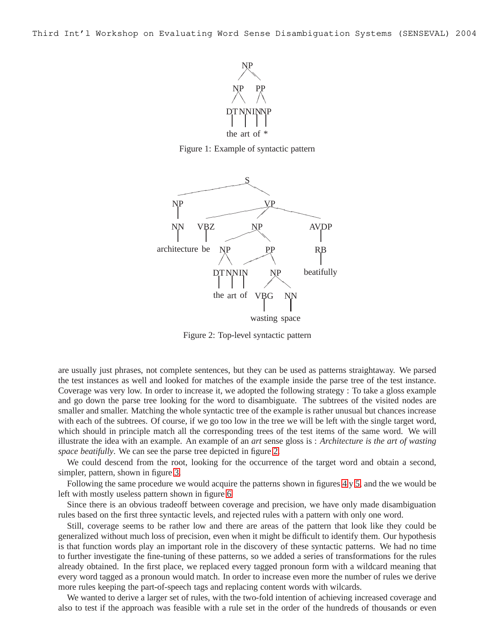

<span id="page-2-0"></span>Figure 1: Example of syntactic pattern



<span id="page-2-1"></span>Figure 2: Top-level syntactic pattern

are usually just phrases, not complete sentences, but they can be used as patterns straightaway. We parsed the test instances as well and looked for matches of the example inside the parse tree of the test instance. Coverage was very low. In order to increase it, we adopted the following strategy : To take a gloss example and go down the parse tree looking for the word to disambiguate. The subtrees of the visited nodes are smaller and smaller. Matching the whole syntactic tree of the example is rather unusual but chances increase with each of the subtrees. Of course, if we go too low in the tree we will be left with the single target word, which should in principle match all the corresponding trees of the test items of the same word. We will illustrate the idea with an example. An example of an *art* sense gloss is : *Architecture is the art of wasting space beatifully*. We can see the parse tree depicted in figure [2.](#page-2-1)

We could descend from the root, looking for the occurrence of the target word and obtain a second, simpler, pattern, shown in figure [3.](#page-3-0)

Following the same procedure we would acquire the patterns shown in figures [4](#page-3-1) y [5,](#page-3-2) and the we would be left with mostly useless pattern shown in figure [6](#page-4-5)

Since there is an obvious tradeoff between coverage and precision, we have only made disambiguation rules based on the first three syntactic levels, and rejected rules with a pattern with only one word.

Still, coverage seems to be rather low and there are areas of the pattern that look like they could be generalized without much loss of precision, even when it might be difficult to identify them. Our hypothesis is that function words play an important role in the discovery of these syntactic patterns. We had no time to further investigate the fine-tuning of these patterns, so we added a series of transformations for the rules already obtained. In the first place, we replaced every tagged pronoun form with a wildcard meaning that every word tagged as a pronoun would match. In order to increase even more the number of rules we derive more rules keeping the part-of-speech tags and replacing content words with wilcards.

We wanted to derive a larger set of rules, with the two-fold intention of achieving increased coverage and also to test if the approach was feasible with a rule set in the order of the hundreds of thousands or even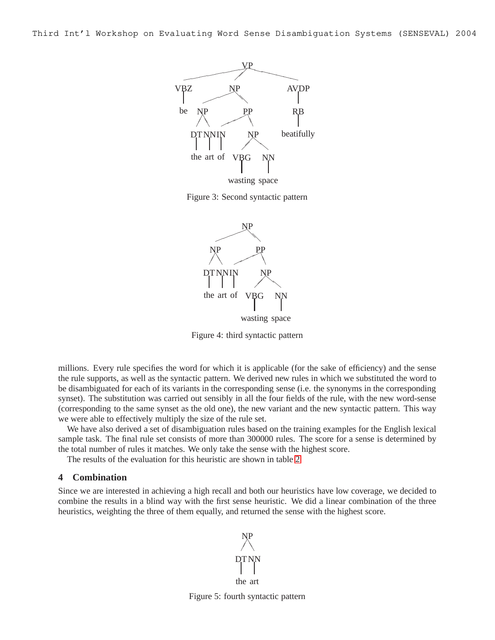

Figure 3: Second syntactic pattern

<span id="page-3-0"></span>

<span id="page-3-1"></span>Figure 4: third syntactic pattern

millions. Every rule specifies the word for which it is applicable (for the sake of efficiency) and the sense the rule supports, as well as the syntactic pattern. We derived new rules in which we substituted the word to be disambiguated for each of its variants in the corresponding sense (i.e. the synonyms in the corresponding synset). The substitution was carried out sensibly in all the four fields of the rule, with the new word-sense (corresponding to the same synset as the old one), the new variant and the new syntactic pattern. This way we were able to effectively multiply the size of the rule set.

We have also derived a set of disambiguation rules based on the training examples for the English lexical sample task. The final rule set consists of more than 300000 rules. The score for a sense is determined by the total number of rules it matches. We only take the sense with the highest score.

The results of the evaluation for this heuristic are shown in table [2](#page-4-6)

#### **4 Combination**

Since we are interested in achieving a high recall and both our heuristics have low coverage, we decided to combine the results in a blind way with the first sense heuristic. We did a linear combination of the three heuristics, weighting the three of them equally, and returned the sense with the highest score.

the art DT NN  $\!\! /$  $\!\! /$ ❚ ❚ NP

<span id="page-3-2"></span>Figure 5: fourth syntactic pattern